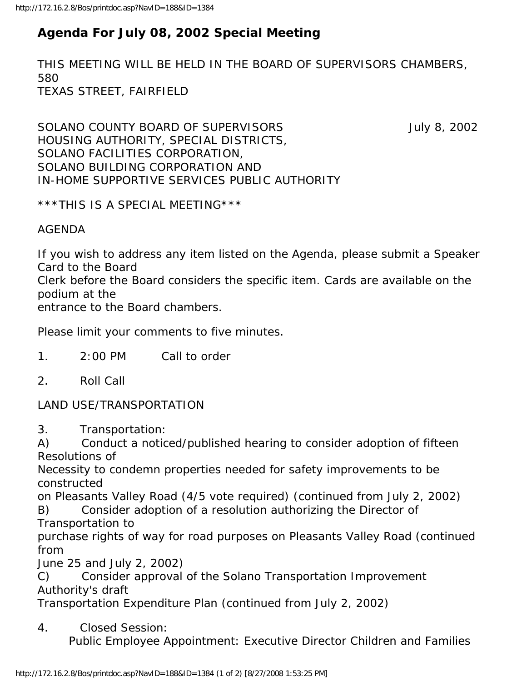## **Agenda For July 08, 2002 Special Meeting**

THIS MEETING WILL BE HELD IN THE BOARD OF SUPERVISORS CHAMBERS, 580 TEXAS STREET, FAIRFIELD

SOLANO COUNTY BOARD OF SUPERVISORS **Fig. 10.13.13.14** July 8, 2002 HOUSING AUTHORITY, SPECIAL DISTRICTS, SOLANO FACILITIES CORPORATION, SOLANO BUILDING CORPORATION AND IN-HOME SUPPORTIVE SERVICES PUBLIC AUTHORITY

\*\*\*THIS IS A SPECIAL MEETING\*\*\*

AGENDA

If you wish to address any item listed on the Agenda, please submit a Speaker Card to the Board

Clerk before the Board considers the specific item. Cards are available on the podium at the

entrance to the Board chambers.

Please limit your comments to five minutes.

- 1. 2:00 PM Call to order
- 2. Roll Call

LAND USE/TRANSPORTATION

3. Transportation:

A) Conduct a noticed/published hearing to consider adoption of fifteen Resolutions of

Necessity to condemn properties needed for safety improvements to be constructed

on Pleasants Valley Road (4/5 vote required) (continued from July 2, 2002) B) Consider adoption of a resolution authorizing the Director of Transportation to

purchase rights of way for road purposes on Pleasants Valley Road (continued from

June 25 and July 2, 2002)

C) Consider approval of the Solano Transportation Improvement Authority's draft

Transportation Expenditure Plan (continued from July 2, 2002)

4. Closed Session:

Public Employee Appointment: Executive Director Children and Families